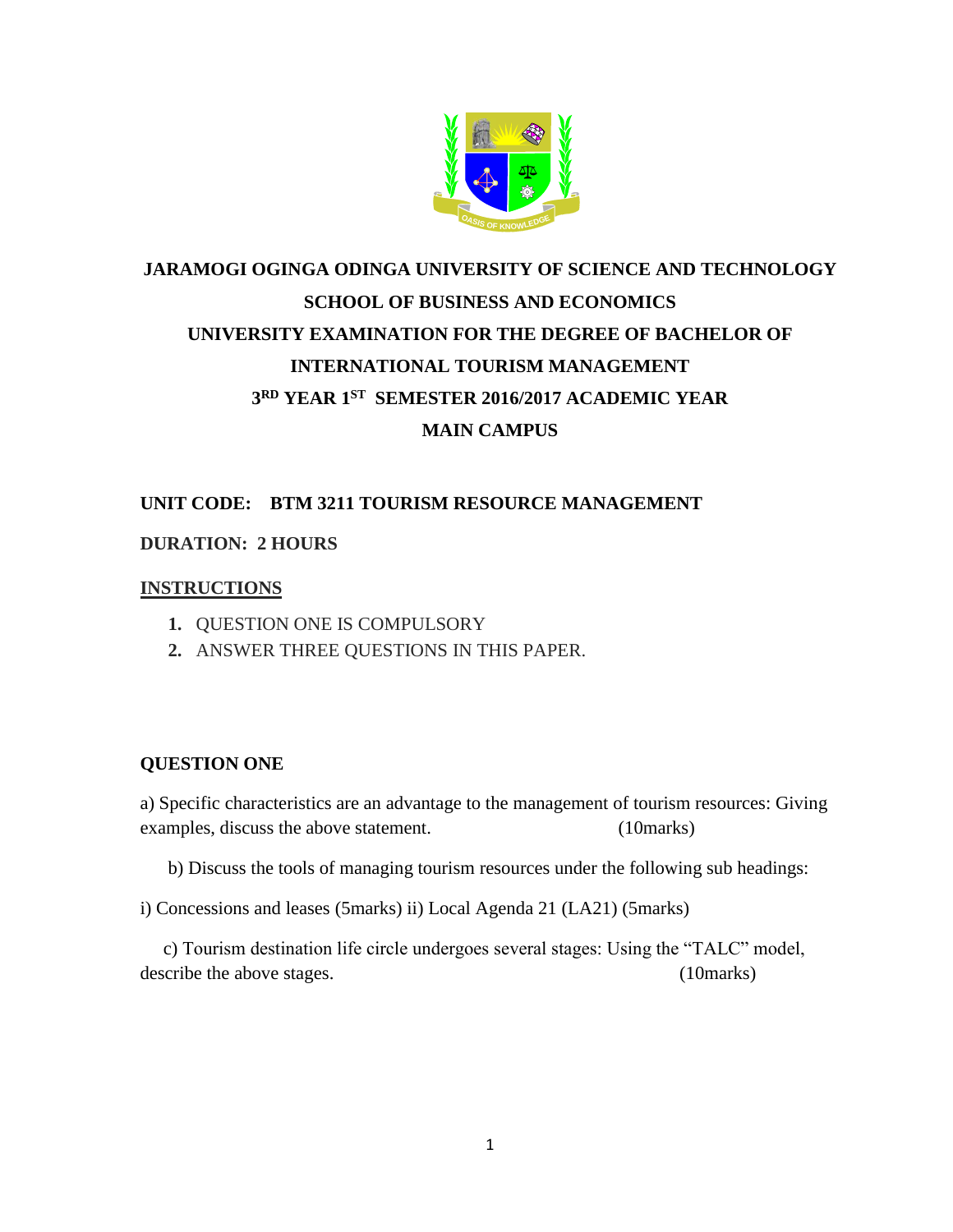

# **JARAMOGI OGINGA ODINGA UNIVERSITY OF SCIENCE AND TECHNOLOGY SCHOOL OF BUSINESS AND ECONOMICS UNIVERSITY EXAMINATION FOR THE DEGREE OF BACHELOR OF INTERNATIONAL TOURISM MANAGEMENT 3 RD YEAR 1ST SEMESTER 2016/2017 ACADEMIC YEAR MAIN CAMPUS**

# **UNIT CODE: BTM 3211 TOURISM RESOURCE MANAGEMENT**

## **DURATION: 2 HOURS**

## **INSTRUCTIONS**

- **1.** QUESTION ONE IS COMPULSORY
- **2.** ANSWER THREE QUESTIONS IN THIS PAPER.

## **QUESTION ONE**

a) Specific characteristics are an advantage to the management of tourism resources: Giving examples, discuss the above statement. (10marks)

b) Discuss the tools of managing tourism resources under the following sub headings:

i) Concessions and leases (5marks) ii) Local Agenda 21 (LA21) (5marks)

 c) Tourism destination life circle undergoes several stages: Using the "TALC" model, describe the above stages. (10marks)